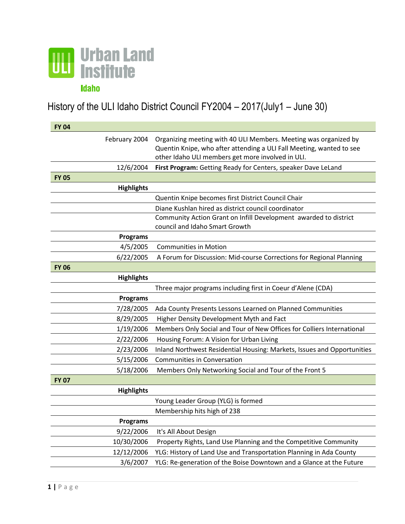

History of the ULI Idaho District Council FY2004 – 2017(July1 – June 30)

| <b>FY 04</b> |                   |                                                                                                                                                                                               |
|--------------|-------------------|-----------------------------------------------------------------------------------------------------------------------------------------------------------------------------------------------|
|              | February 2004     | Organizing meeting with 40 ULI Members. Meeting was organized by<br>Quentin Knipe, who after attending a ULI Fall Meeting, wanted to see<br>other Idaho ULI members get more involved in ULI. |
|              | 12/6/2004         | First Program: Getting Ready for Centers, speaker Dave LeLand                                                                                                                                 |
| <b>FY 05</b> |                   |                                                                                                                                                                                               |
|              | <b>Highlights</b> |                                                                                                                                                                                               |
|              |                   | Quentin Knipe becomes first District Council Chair                                                                                                                                            |
|              |                   | Diane Kushlan hired as district council coordinator                                                                                                                                           |
|              |                   | Community Action Grant on Infill Development awarded to district<br>council and Idaho Smart Growth                                                                                            |
|              | <b>Programs</b>   |                                                                                                                                                                                               |
|              | 4/5/2005          | <b>Communities in Motion</b>                                                                                                                                                                  |
|              | 6/22/2005         | A Forum for Discussion: Mid-course Corrections for Regional Planning                                                                                                                          |
| <b>FY 06</b> |                   |                                                                                                                                                                                               |
|              | <b>Highlights</b> |                                                                                                                                                                                               |
|              |                   | Three major programs including first in Coeur d'Alene (CDA)                                                                                                                                   |
|              | <b>Programs</b>   |                                                                                                                                                                                               |
|              | 7/28/2005         | Ada County Presents Lessons Learned on Planned Communities                                                                                                                                    |
|              | 8/29/2005         | Higher Density Development Myth and Fact                                                                                                                                                      |
|              | 1/19/2006         | Members Only Social and Tour of New Offices for Colliers International                                                                                                                        |
|              | 2/22/2006         | Housing Forum: A Vision for Urban Living                                                                                                                                                      |
|              | 2/23/2006         | Inland Northwest Residential Housing: Markets, Issues and Opportunities                                                                                                                       |
|              | 5/15/2006         | <b>Communities in Conversation</b>                                                                                                                                                            |
|              | 5/18/2006         | Members Only Networking Social and Tour of the Front 5                                                                                                                                        |
| <b>FY 07</b> |                   |                                                                                                                                                                                               |
|              | <b>Highlights</b> |                                                                                                                                                                                               |
|              |                   | Young Leader Group (YLG) is formed                                                                                                                                                            |
|              |                   | Membership hits high of 238                                                                                                                                                                   |
|              | <b>Programs</b>   |                                                                                                                                                                                               |
|              | 9/22/2006         | It's All About Design                                                                                                                                                                         |
|              | 10/30/2006        | Property Rights, Land Use Planning and the Competitive Community                                                                                                                              |
|              | 12/12/2006        | YLG: History of Land Use and Transportation Planning in Ada County                                                                                                                            |
|              | 3/6/2007          | YLG: Re-generation of the Boise Downtown and a Glance at the Future                                                                                                                           |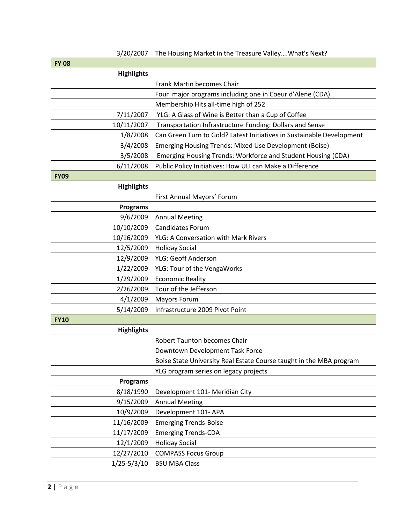| <b>FY 08</b>      |                                                                       |
|-------------------|-----------------------------------------------------------------------|
| <b>Highlights</b> |                                                                       |
|                   | Frank Martin becomes Chair                                            |
|                   | Four major programs including one in Coeur d'Alene (CDA)              |
|                   | Membership Hits all-time high of 252                                  |
| 7/11/2007         | YLG: A Glass of Wine is Better than a Cup of Coffee                   |
| 10/11/2007        | Transportation Infrastructure Funding: Dollars and Sense              |
| 1/8/2008          | Can Green Turn to Gold? Latest Initiatives in Sustainable Development |
| 3/4/2008          | Emerging Housing Trends: Mixed Use Development (Boise)                |
| 3/5/2008          | Emerging Housing Trends: Workforce and Student Housing (CDA)          |
| 6/11/2008         | Public Policy Initiatives: How ULI can Make a Difference              |
| <b>FY09</b>       |                                                                       |
| <b>Highlights</b> |                                                                       |
|                   | First Annual Mayors' Forum                                            |
| <b>Programs</b>   |                                                                       |
| 9/6/2009          | <b>Annual Meeting</b>                                                 |
| 10/10/2009        | <b>Candidates Forum</b>                                               |
| 10/16/2009        | YLG: A Conversation with Mark Rivers                                  |
| 12/5/2009         | <b>Holiday Social</b>                                                 |
| 12/9/2009         | YLG: Geoff Anderson                                                   |
| 1/22/2009         | YLG: Tour of the VengaWorks                                           |
| 1/29/2009         | <b>Economic Reality</b>                                               |
| 2/26/2009         | Tour of the Jefferson                                                 |
| 4/1/2009          | <b>Mayors Forum</b>                                                   |
| 5/14/2009         | Infrastructure 2009 Pivot Point                                       |
| <b>FY10</b>       |                                                                       |
| <b>Highlights</b> |                                                                       |
|                   | <b>Robert Taunton becomes Chair</b>                                   |
|                   | Downtown Development Task Force                                       |
|                   | Boise State University Real Estate Course taught in the MBA program   |
|                   | YLG program series on legacy projects                                 |
| <b>Programs</b>   |                                                                       |
| 8/18/1990         | Development 101- Meridian City                                        |
| 9/15/2009         | <b>Annual Meeting</b>                                                 |
| 10/9/2009         | Development 101-APA                                                   |
| 11/16/2009        | <b>Emerging Trends-Boise</b>                                          |
| 11/17/2009        | <b>Emerging Trends-CDA</b>                                            |
| 12/1/2009         | <b>Holiday Social</b>                                                 |
| 12/27/2010        | <b>COMPASS Focus Group</b>                                            |
| $1/25 - 5/3/10$   | <b>BSU MBA Class</b>                                                  |

3/20/2007 The Housing Market in the Treasure Valley….What's Next?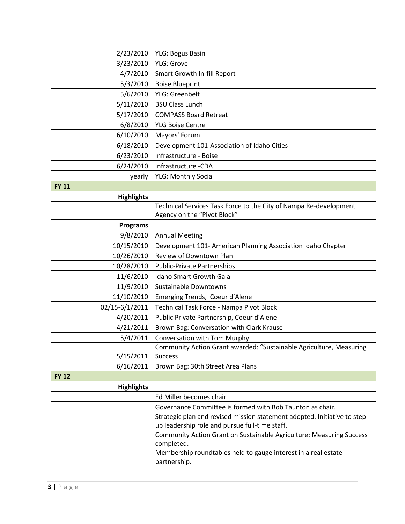| 2/23/2010         | <b>YLG: Bogus Basin</b>                                                            |
|-------------------|------------------------------------------------------------------------------------|
| 3/23/2010         | <b>YLG: Grove</b>                                                                  |
| 4/7/2010          | Smart Growth In-fill Report                                                        |
| 5/3/2010          | <b>Boise Blueprint</b>                                                             |
| 5/6/2010          | YLG: Greenbelt                                                                     |
| 5/11/2010         | <b>BSU Class Lunch</b>                                                             |
| 5/17/2010         | <b>COMPASS Board Retreat</b>                                                       |
| 6/8/2010          | <b>YLG Boise Centre</b>                                                            |
| 6/10/2010         | Mayors' Forum                                                                      |
| 6/18/2010         | Development 101-Association of Idaho Cities                                        |
| 6/23/2010         | Infrastructure - Boise                                                             |
| 6/24/2010         | Infrastructure -CDA                                                                |
| yearly            | <b>YLG: Monthly Social</b>                                                         |
| <b>FY 11</b>      |                                                                                    |
| <b>Highlights</b> |                                                                                    |
|                   | Technical Services Task Force to the City of Nampa Re-development                  |
|                   | Agency on the "Pivot Block"                                                        |
| <b>Programs</b>   |                                                                                    |
| 9/8/2010          | <b>Annual Meeting</b>                                                              |
| 10/15/2010        | Development 101- American Planning Association Idaho Chapter                       |
| 10/26/2010        | Review of Downtown Plan                                                            |
| 10/28/2010        | <b>Public-Private Partnerships</b>                                                 |
| 11/6/2010         | <b>Idaho Smart Growth Gala</b>                                                     |
| 11/9/2010         | <b>Sustainable Downtowns</b>                                                       |
| 11/10/2010        | Emerging Trends, Coeur d'Alene                                                     |
| 02/15-6/1/2011    | Technical Task Force - Nampa Pivot Block                                           |
| 4/20/2011         | Public Private Partnership, Coeur d'Alene                                          |
| 4/21/2011         | Brown Bag: Conversation with Clark Krause                                          |
| 5/4/2011          | Conversation with Tom Murphy                                                       |
|                   | Community Action Grant awarded: "Sustainable Agriculture, Measuring                |
| 5/15/2011         | <b>Success</b>                                                                     |
| 6/16/2011         | Brown Bag: 30th Street Area Plans                                                  |
| <b>FY 12</b>      |                                                                                    |
| <b>Highlights</b> |                                                                                    |
|                   | Ed Miller becomes chair                                                            |
|                   | Governance Committee is formed with Bob Taunton as chair.                          |
|                   | Strategic plan and revised mission statement adopted. Initiative to step           |
|                   | up leadership role and pursue full-time staff.                                     |
|                   | Community Action Grant on Sustainable Agriculture: Measuring Success<br>completed. |
|                   | Membership roundtables held to gauge interest in a real estate<br>partnership.     |
|                   |                                                                                    |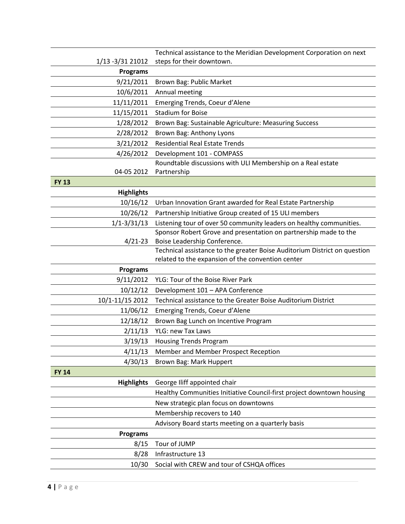|                   | Technical assistance to the Meridian Development Corporation on next                                                           |
|-------------------|--------------------------------------------------------------------------------------------------------------------------------|
| 1/13 - 3/31 21012 | steps for their downtown.                                                                                                      |
| <b>Programs</b>   |                                                                                                                                |
| 9/21/2011         | Brown Bag: Public Market                                                                                                       |
| 10/6/2011         | Annual meeting                                                                                                                 |
| 11/11/2011        | Emerging Trends, Coeur d'Alene                                                                                                 |
| 11/15/2011        | <b>Stadium for Boise</b>                                                                                                       |
| 1/28/2012         | Brown Bag: Sustainable Agriculture: Measuring Success                                                                          |
| 2/28/2012         | Brown Bag: Anthony Lyons                                                                                                       |
| 3/21/2012         | <b>Residential Real Estate Trends</b>                                                                                          |
| 4/26/2012         | Development 101 - COMPASS                                                                                                      |
|                   | Roundtable discussions with ULI Membership on a Real estate                                                                    |
| 04-05 2012        | Partnership                                                                                                                    |
| <b>FY 13</b>      |                                                                                                                                |
| <b>Highlights</b> |                                                                                                                                |
| 10/16/12          | Urban Innovation Grant awarded for Real Estate Partnership                                                                     |
| 10/26/12          | Partnership Initiative Group created of 15 ULI members                                                                         |
| $1/1 - 3/31/13$   | Listening tour of over 50 community leaders on healthy communities.                                                            |
|                   | Sponsor Robert Grove and presentation on partnership made to the                                                               |
| $4/21 - 23$       | Boise Leadership Conference.                                                                                                   |
|                   | Technical assistance to the greater Boise Auditorium District on question<br>related to the expansion of the convention center |
| <b>Programs</b>   |                                                                                                                                |
| 9/11/2012         | YLG: Tour of the Boise River Park                                                                                              |
| 10/12/12          | Development 101 - APA Conference                                                                                               |
| 10/1-11/15 2012   | Technical assistance to the Greater Boise Auditorium District                                                                  |
| 11/06/12          | Emerging Trends, Coeur d'Alene                                                                                                 |
| 12/18/12          | Brown Bag Lunch on Incentive Program                                                                                           |
| 2/11/13           | <b>YLG: new Tax Laws</b>                                                                                                       |
| 3/19/13           | <b>Housing Trends Program</b>                                                                                                  |
| 4/11/13           | Member and Member Prospect Reception                                                                                           |
| 4/30/13           | Brown Bag: Mark Huppert                                                                                                        |
| <b>FY 14</b>      |                                                                                                                                |
| <b>Highlights</b> | George Iliff appointed chair                                                                                                   |
|                   | Healthy Communities Initiative Council-first project downtown housing                                                          |
|                   | New strategic plan focus on downtowns                                                                                          |
|                   | Membership recovers to 140                                                                                                     |
|                   | Advisory Board starts meeting on a quarterly basis                                                                             |
| <b>Programs</b>   |                                                                                                                                |
| 8/15              | Tour of JUMP                                                                                                                   |
| 8/28              | Infrastructure 13                                                                                                              |
|                   |                                                                                                                                |
| 10/30             | Social with CREW and tour of CSHQA offices                                                                                     |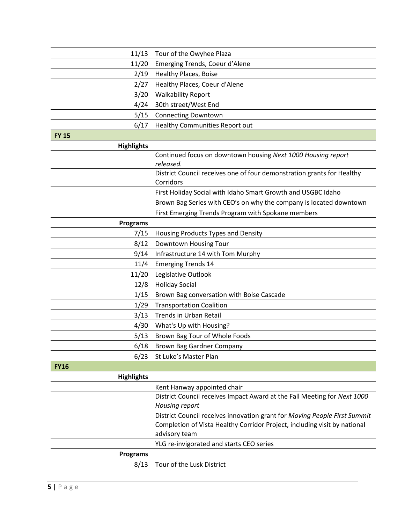| 11/13             | Tour of the Owyhee Plaza                                                            |
|-------------------|-------------------------------------------------------------------------------------|
| 11/20             | Emerging Trends, Coeur d'Alene                                                      |
| 2/19              | <b>Healthy Places, Boise</b>                                                        |
| 2/27              | Healthy Places, Coeur d'Alene                                                       |
| 3/20              | <b>Walkability Report</b>                                                           |
| 4/24              | 30th street/West End                                                                |
| 5/15              | <b>Connecting Downtown</b>                                                          |
| 6/17              | Healthy Communities Report out                                                      |
| <b>FY 15</b>      |                                                                                     |
| <b>Highlights</b> |                                                                                     |
|                   | Continued focus on downtown housing Next 1000 Housing report<br>released.           |
|                   | District Council receives one of four demonstration grants for Healthy<br>Corridors |
|                   | First Holiday Social with Idaho Smart Growth and USGBC Idaho                        |
|                   | Brown Bag Series with CEO's on why the company is located downtown                  |
|                   | First Emerging Trends Program with Spokane members                                  |
| <b>Programs</b>   |                                                                                     |
| 7/15              | Housing Products Types and Density                                                  |
| 8/12              | Downtown Housing Tour                                                               |
| 9/14              | Infrastructure 14 with Tom Murphy                                                   |
| 11/4              | <b>Emerging Trends 14</b>                                                           |
| 11/20             | Legislative Outlook                                                                 |
| 12/8              | <b>Holiday Social</b>                                                               |
| 1/15              | Brown Bag conversation with Boise Cascade                                           |
| 1/29              | <b>Transportation Coalition</b>                                                     |
| 3/13              | <b>Trends in Urban Retail</b>                                                       |
| 4/30              | What's Up with Housing?                                                             |
| 5/13              | Brown Bag Tour of Whole Foods                                                       |
| 6/18              | <b>Brown Bag Gardner Company</b>                                                    |
| 6/23              | St Luke's Master Plan                                                               |
| <b>FY16</b>       |                                                                                     |
| <b>Highlights</b> |                                                                                     |
|                   | Kent Hanway appointed chair                                                         |
|                   | District Council receives Impact Award at the Fall Meeting for Next 1000            |
|                   | Housing report                                                                      |
|                   | District Council receives innovation grant for Moving People First Summit           |
|                   | Completion of Vista Healthy Corridor Project, including visit by national           |
|                   | advisory team                                                                       |
|                   | YLG re-invigorated and starts CEO series                                            |
| <b>Programs</b>   |                                                                                     |
| 8/13              | Tour of the Lusk District                                                           |